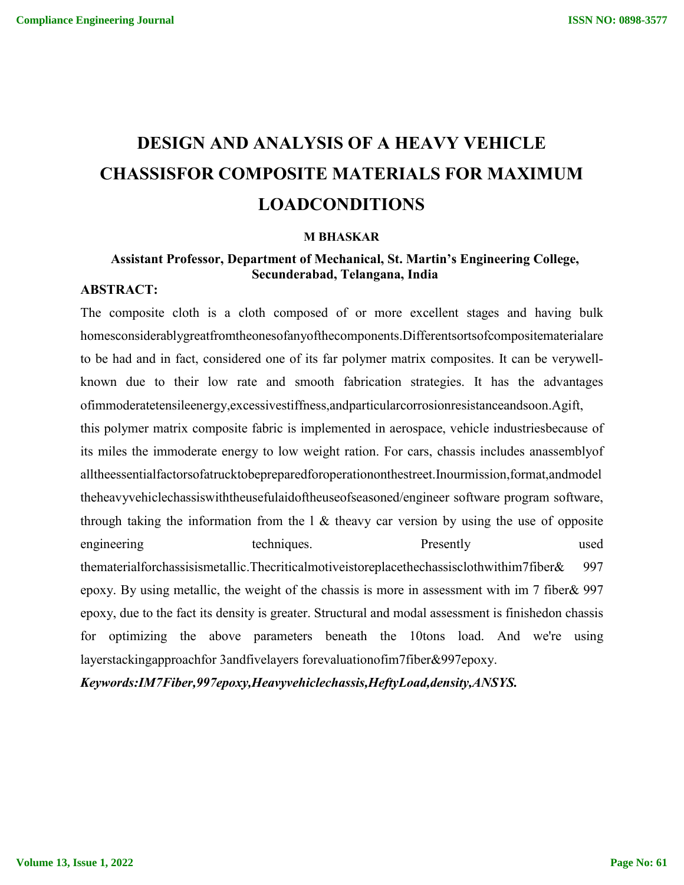# **DESIGN AND ANALYSIS OF A HEAVY VEHICLE CHASSISFOR COMPOSITE MATERIALS FOR MAXIMUM LOADCONDITIONS**

#### **M BHASKAR**

## **Assistant Professor, Department of Mechanical, St. Martin's Engineering College, Secunderabad, Telangana, India**

#### **ABSTRACT:**

The composite cloth is a cloth composed of or more excellent stages and having bulk homesconsiderablygreatfromtheonesofanyofthecomponents.Differentsortsofcompositematerialare to be had and in fact, considered one of its far polymer matrix composites. It can be verywellknown due to their low rate and smooth fabrication strategies. It has the advantages ofimmoderatetensileenergy,excessivestiffness,andparticularcorrosionresistanceandsoon.Agift,

this polymer matrix composite fabric is implemented in aerospace, vehicle industriesbecause of its miles the immoderate energy to low weight ration. For cars, chassis includes anassemblyof alltheessentialfactorsofatrucktobepreparedforoperationonthestreet.Inourmission,format,andmodel theheavyvehiclechassiswiththeusefulaidoftheuseofseasoned/engineer software program software, through taking the information from the  $\ell$  & theavy car version by using the use of opposite engineering techniques. Presently used thematerialforchassisismetallic.Thecriticalmotiveistoreplacethechassisclothwithim7fiber& 997 epoxy. By using metallic, the weight of the chassis is more in assessment with im 7 fiber& 997 epoxy, due to the fact its density is greater. Structural and modal assessment is finishedon chassis for optimizing the above parameters beneath the 10tons load. And we're using layerstackingapproachfor 3andfivelayers forevaluationofim7fiber&997epoxy.

*Keywords:IM7Fiber,997epoxy,Heavyvehiclechassis,HeftyLoad,density,ANSYS.*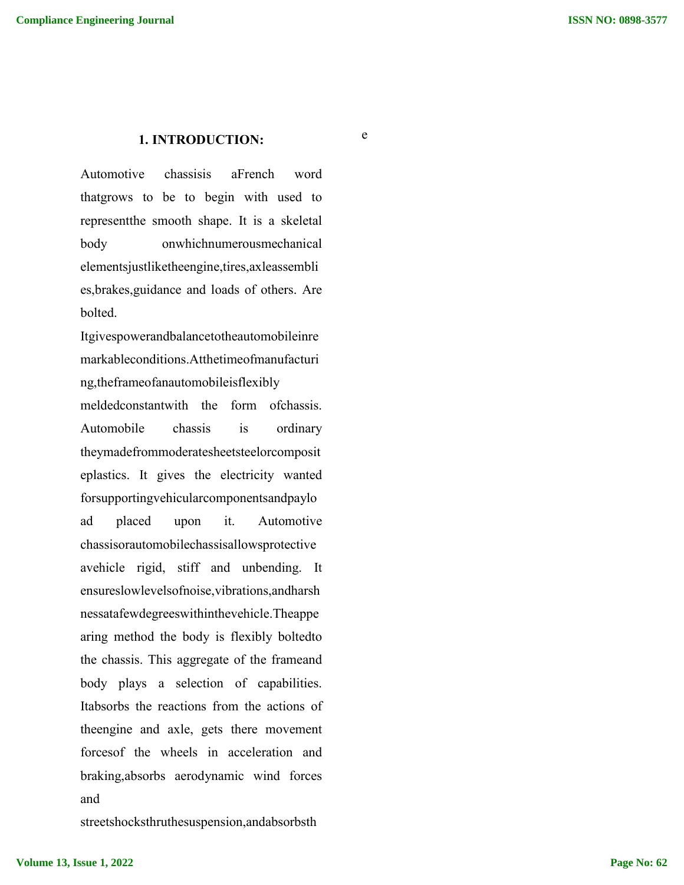#### **1. INTRODUCTION:**

e

Automotive chassisis aFrench word thatgrows to be to begin with used to representthe smooth shape. It is a skeletal body onwhichnumerousmechanical elementsjustliketheengine,tires,axleassembli es,brakes,guidance and loads of others. Are bolted.

Itgivespowerandbalancetotheautomobileinre markableconditions.Atthetimeofmanufacturi ng,theframeofanautomobileisflexibly meldedconstantwith the form ofchassis. Automobile chassis is ordinary theymadefrommoderatesheetsteelorcomposit eplastics. It gives the electricity wanted forsupportingvehicularcomponentsandpaylo ad placed upon it. Automotive chassisorautomobilechassisallowsprotective avehicle rigid, stiff and unbending. It ensureslowlevelsofnoise,vibrations,andharsh nessatafewdegreeswithinthevehicle.Theappe aring method the body is flexibly boltedto the chassis. This aggregate of the frameand body plays a selection of capabilities. Itabsorbs the reactions from the actions of theengine and axle, gets there movement forcesof the wheels in acceleration and braking,absorbs aerodynamic wind forces and

streetshocksthruthesuspension,andabsorbsth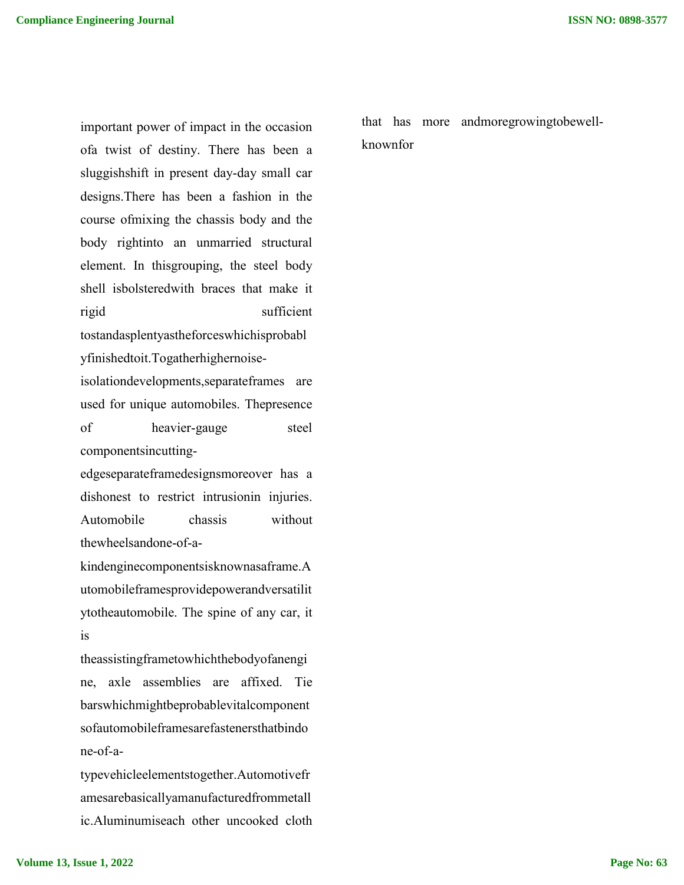important power of impact in the occasion ofa twist of destiny. There has been a sluggishshift in present day-day small car designs.There has been a fashion in the course ofmixing the chassis body and the body rightinto an unmarried structural element. In thisgrouping, the steel body shell isbolsteredwith braces that make it rigid sufficient tostandasplentyastheforceswhichisprobabl yfinishedtoit.Togatherhighernoiseisolationdevelopments,separateframes are used for unique automobiles. Thepresence of heavier-gauge steel componentsincutting-

edgeseparateframedesignsmoreover has a dishonest to restrict intrusionin injuries. Automobile chassis without thewheelsandone-of-a-

kindenginecomponentsisknownasaframe.A utomobileframesprovidepowerandversatilit ytotheautomobile. The spine of any car, it is

theassistingframetowhichthebodyofanengi ne, axle assemblies are affixed. Tie barswhichmightbeprobablevitalcomponent sofautomobileframesarefastenersthatbindo ne-of-a-

typevehicleelementstogether.Automotivefr amesarebasicallyamanufacturedfrommetall ic.Aluminumiseach other uncooked cloth

that has more andmoregrowingtobewellknownfor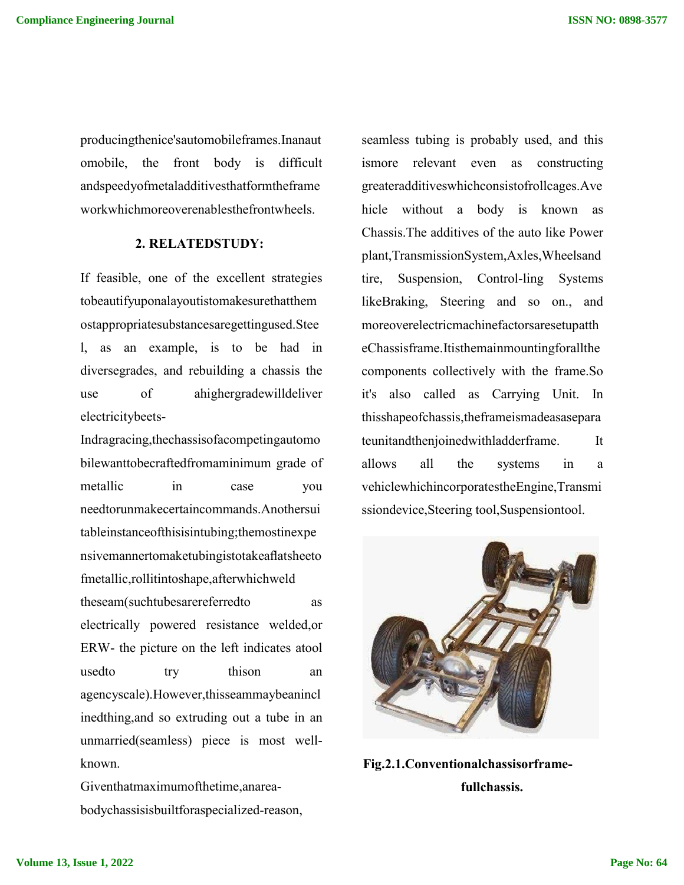producingthenice'sautomobileframes.Inanaut omobile, the front body is difficult andspeedyofmetaladditivesthatformtheframe workwhichmoreoverenablesthefrontwheels.

### **2. RELATEDSTUDY:**

If feasible, one of the excellent strategies tobeautifyuponalayoutistomakesurethatthem ostappropriatesubstancesaregettingused.Stee l, as an example, is to be had in diversegrades, and rebuilding a chassis the use of ahighergradewilldeliver electricitybeets-

Indragracing,thechassisofacompetingautomo bilewanttobecraftedfromaminimum grade of metallic in case you needtorunmakecertaincommands.Anothersui tableinstanceofthisisintubing;themostinexpe nsivemannertomaketubingistotakeaflatsheeto fmetallic,rollitintoshape,afterwhichweld theseam(suchtubesarereferredto as electrically powered resistance welded,or ERW- the picture on the left indicates atool usedto try thison an agencyscale).However,thisseammaybeanincl inedthing,and so extruding out a tube in an unmarried(seamless) piece is most wellknown.

Giventhatmaximumofthetime,anareabodychassisisbuiltforaspecialized-reason, seamless tubing is probably used, and this ismore relevant even as constructing greateradditiveswhichconsistofrollcages.Ave hicle without a body is known as Chassis.The additives of the auto like Power plant,TransmissionSystem,Axles,Wheelsand tire, Suspension, Control-ling Systems likeBraking, Steering and so on., and moreoverelectricmachinefactorsaresetupatth eChassisframe.Itisthemainmountingforallthe components collectively with the frame.So it's also called as Carrying Unit. In thisshapeofchassis,theframeismadeasasepara teunitandthenjoinedwithladderframe. It allows all the systems in a vehiclewhichincorporatestheEngine,Transmi ssiondevice,Steering tool,Suspensiontool.



**Fig.2.1.Conventionalchassisorframefullchassis.**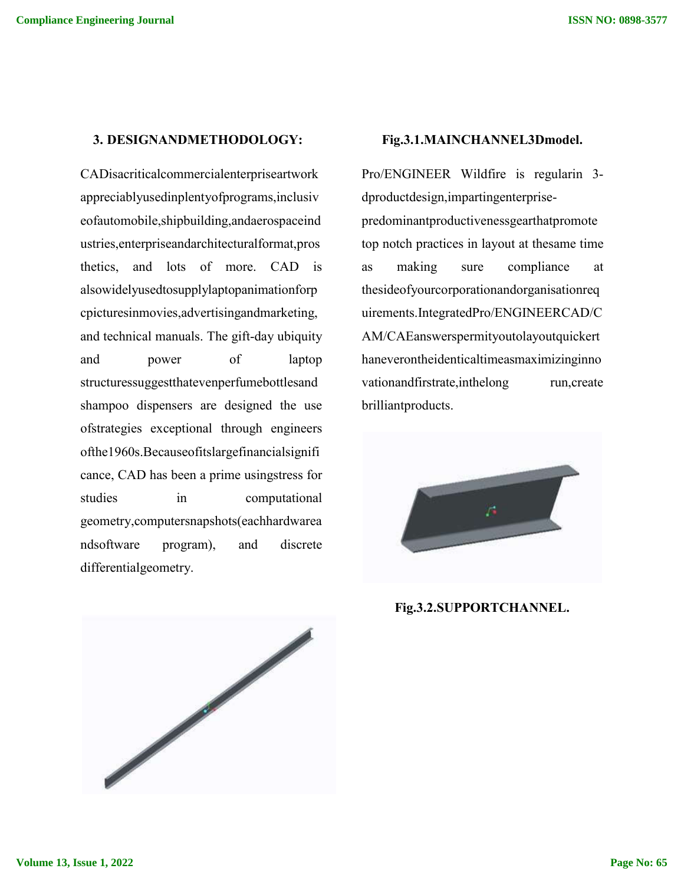#### **3. DESIGNANDMETHODOLOGY:**

CADisacriticalcommercialenterpriseartwork appreciablyusedinplentyofprograms,inclusiv eofautomobile,shipbuilding,andaerospaceind ustries,enterpriseandarchitecturalformat,pros thetics, and lots of more. CAD is alsowidelyusedtosupplylaptopanimationforp cpicturesinmovies,advertisingandmarketing, and technical manuals. The gift-day ubiquity and power of laptop structuressuggestthatevenperfumebottlesand shampoo dispensers are designed the use ofstrategies exceptional through engineers ofthe1960s.Becauseofitslargefinancialsignifi cance, CAD has been a prime usingstress for studies in computational geometry,computersnapshots(eachhardwarea ndsoftware program), and discrete differentialgeometry.



Pro/ENGINEER Wildfire is regularin 3 dproductdesign,impartingenterprisepredominantproductivenessgearthatpromote top notch practices in layout at thesame time as making sure compliance at thesideofyourcorporationandorganisationreq uirements.IntegratedPro/ENGINEERCAD/C AM/CAEanswerspermityoutolayoutquickert haneverontheidenticaltimeasmaximizinginno vationandfirstrate, inthelong run, create brilliantproducts.



**Fig.3.2.SUPPORTCHANNEL.**

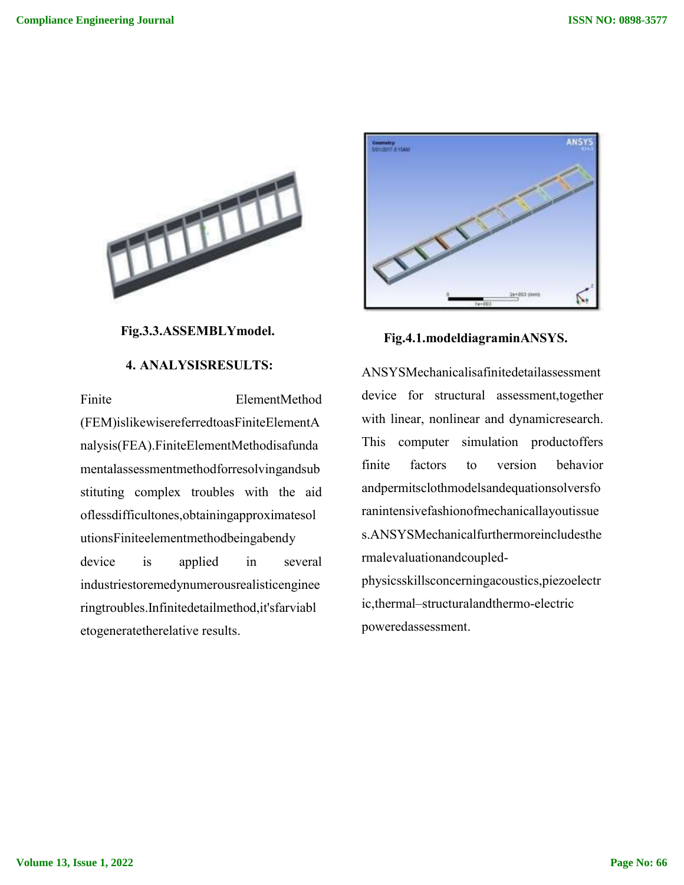

**Fig.3.3.ASSEMBLYmodel.**

### **4. ANALYSISRESULTS:**

Finite ElementMethod (FEM)islikewisereferredtoasFiniteElementA nalysis(FEA).FiniteElementMethodisafunda mentalassessmentmethodforresolvingandsub stituting complex troubles with the aid oflessdifficultones,obtainingapproximatesol utionsFiniteelementmethodbeingabendy device is applied in several industriestoremedynumerousrealisticenginee ringtroubles.Infinitedetailmethod,it'sfarviabl etogeneratetherelative results.



**Fig.4.1.modeldiagraminANSYS.**

ANSYSMechanicalisafinitedetailassessment device for structural assessment,together with linear, nonlinear and dynamicresearch. This computer simulation productoffers finite factors to version behavior andpermitsclothmodelsandequationsolversfo ranintensivefashionofmechanicallayoutissue s.ANSYSMechanicalfurthermoreincludesthe rmalevaluationandcoupledphysicsskillsconcerningacoustics,piezoelectr

ic,thermal–structuralandthermo-electric poweredassessment.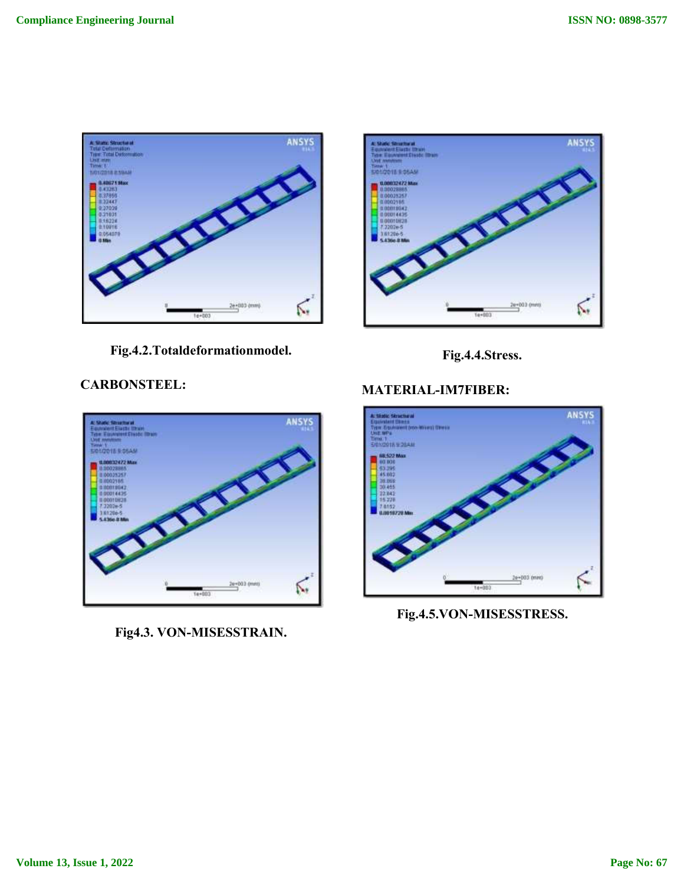

**Fig.4.2.Totaldeformationmodel.**





# **CARBONSTEEL:**



**Fig4.3. VON-MISESSTRAIN.**

# **MATERIAL-IM7FIBER:**



**Fig.4.5.VON-MISESSTRESS.**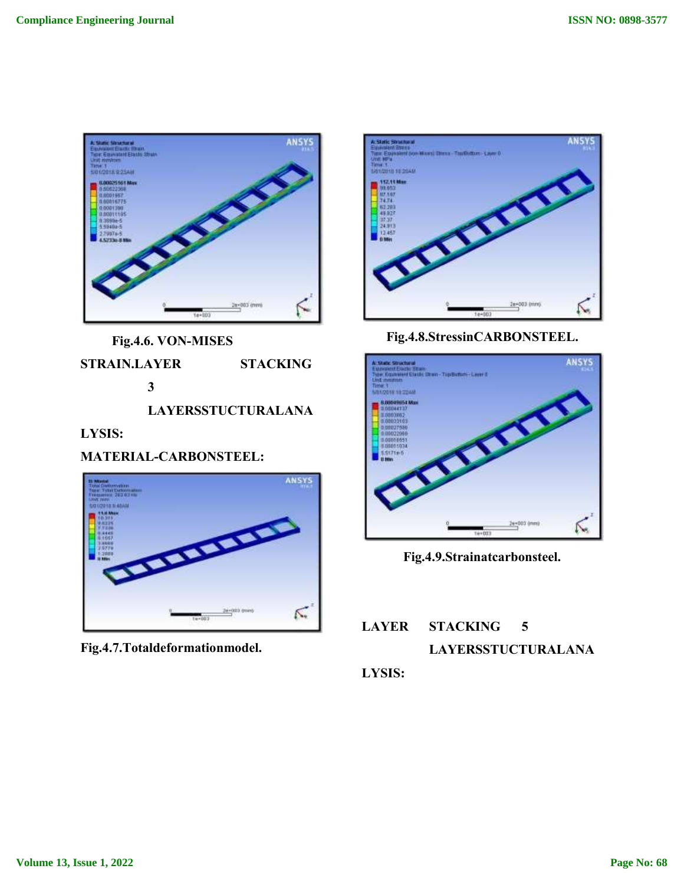

**Fig.4.6. VON-MISES** 

**STRAIN.LAYER STACKING 3**

**LAYERSSTUCTURALANA**

## **LYSIS:**

**MATERIAL-CARBONSTEEL:**



**Fig.4.7.Totaldeformationmodel.**



**Fig.4.8.StressinCARBONSTEEL.**



**Fig.4.9.Strainatcarbonsteel.**

# **LAYER STACKING 5 LAYERSSTUCTURALANA LYSIS:**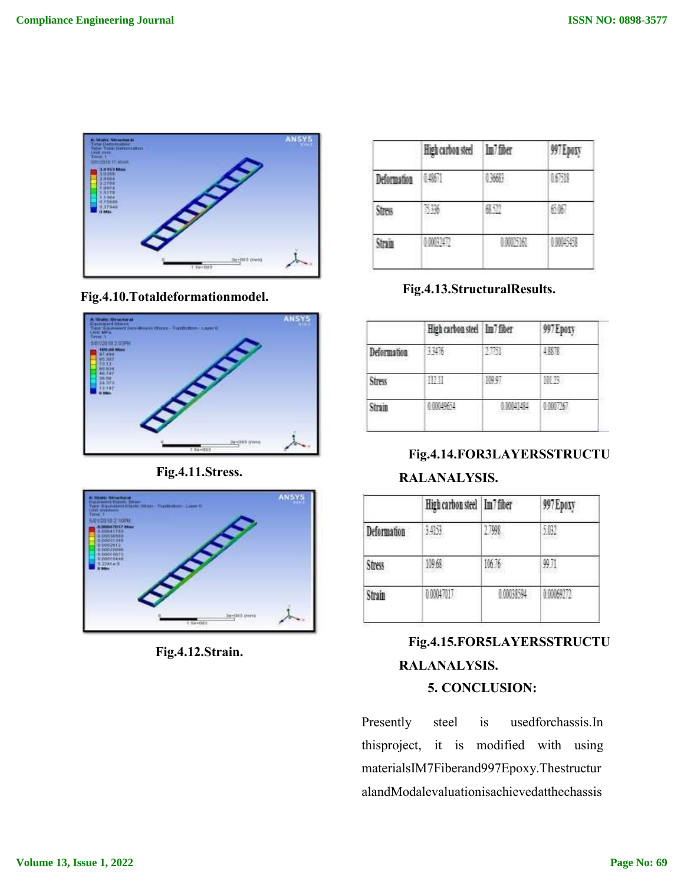

**Fig.4.10.Totaldeformationmodel.**



**Fig.4.11.Stress.**



**Fig.4.12.Strain.**

|             | High carbon steel Im / fiber |                | 997 Epoxy |
|-------------|------------------------------|----------------|-----------|
| Deformation |                              |                |           |
|             |                              | <b>TELESCO</b> | 1936      |
| -138        |                              | 0.00025163     | 00045458  |

**Fig.4.13.StructuralResults.**

|             | High carbon steel   Im7 fiber |       | 997 Epoxy |
|-------------|-------------------------------|-------|-----------|
| Deformation | 33476                         |       | 4,8878    |
| Stress      | <b>State</b>                  | 60.07 | 揃节        |
| Strain      |                               |       | 이번 10061  |

**Fig.4.14.FOR3LAYERSSTRUCTU RALANALYSIS.**

|             | High carbon steel Im7 fiber |                | 997 Epoxy  |
|-------------|-----------------------------|----------------|------------|
| Deformation | 3.4153                      | 1.7998         | 5.03       |
| Stress      | 109.68                      | 10. D<br>an an | 男月         |
| Strain      | 0.00047017                  | 0 00038594     | 0.00069272 |

# **Fig.4.15.FOR5LAYERSSTRUCTU RALANALYSIS. 5. CONCLUSION:**

Presently steel is usedforchassis.In thisproject, it is modified with using materialsIM7Fiberand997Epoxy.Thestructur alandModalevaluationisachievedatthechassis